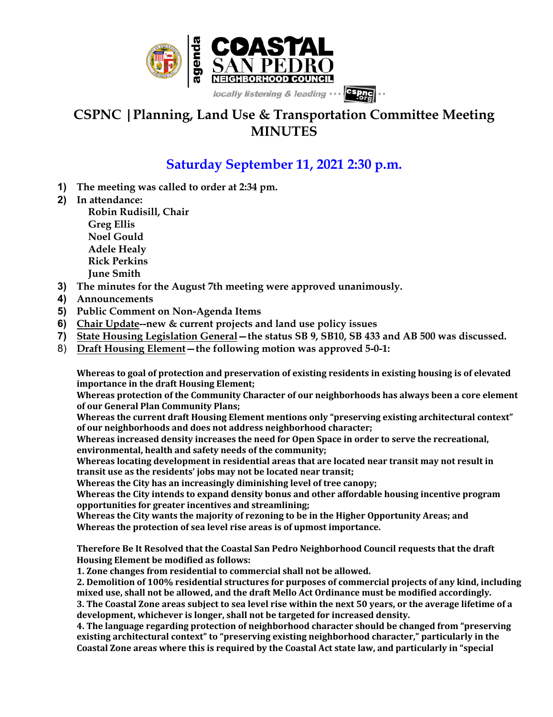

## **CSPNC |Planning, Land Use & Transportation Committee Meeting MINUTES**

## **Saturday September 11, 2021 2:30 p.m.**

- **1) The meeting was called to order at 2:34 pm.**
- **2) In attendance:**

**Robin Rudisill, Chair Greg Ellis Noel Gould Adele Healy Rick Perkins June Smith**

- **3) The minutes for the August 7th meeting were approved unanimously.**
- **4) Announcements**
- **5) Public Comment on Non-Agenda Items**
- **6) Chair Update--new & current projects and land use policy issues**
- **7) State Housing Legislation General—the status SB 9, SB10, SB 433 and AB 500 was discussed.**
- 8) **Draft Housing Element—the following motion was approved 5-0-1:**

Whereas to goal of protection and preservation of existing residents in existing housing is of elevated **importance in the draft Housing Element;** 

Whereas protection of the Community Character of our neighborhoods has always been a core element of our General Plan Community Plans;

Whereas the current draft Housing Element mentions only "preserving existing architectural context" of our neighborhoods and does not address neighborhood character;

Whereas increased density increases the need for Open Space in order to serve the recreational, environmental, health and safety needs of the community;

**Whereas locating development in residential areas that are located near transit may not result in** transit use as the residents' jobs may not be located near transit;

**Whereas the City has an increasingly diminishing level of tree canopy;** 

Whereas the City intends to expand density bonus and other affordable housing incentive program opportunities for greater incentives and streamlining;

Whereas the City wants the majority of rezoning to be in the Higher Opportunity Areas; and Whereas the protection of sea level rise areas is of upmost importance.

**Therefore Be It Resolved that the Coastal San Pedro Neighborhood Council requests that the draft Housing Element be modified as follows:** 

**1. Zone changes from residential to commercial shall not be allowed.** 

2. Demolition of 100% residential structures for purposes of commercial projects of any kind, including mixed use, shall not be allowed, and the draft Mello Act Ordinance must be modified accordingly.

**3.** The Coastal Zone areas subject to sea level rise within the next 50 years, or the average lifetime of a development, whichever is longer, shall not be targeted for increased density.

**4.** The language regarding protection of neighborhood character should be changed from "preserving" existing architectural context" to "preserving existing neighborhood character," particularly in the Coastal Zone areas where this is required by the Coastal Act state law, and particularly in "special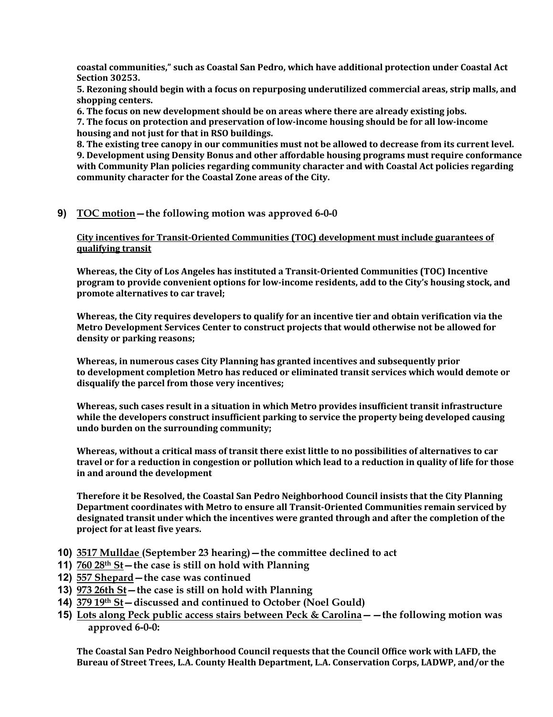coastal communities," such as Coastal San Pedro, which have additional protection under Coastal Act **Section 30253.**

**5.** Rezoning should begin with a focus on repurposing underutilized commercial areas, strip malls, and **shopping centers.**

**6.** The focus on new development should be on areas where there are already existing jobs.

**7.** The focus on protection and preservation of low-income housing should be for all low-income housing and not just for that in RSO buildings.

**8.** The existing tree canopy in our communities must not be allowed to decrease from its current level. **9.** Development using Density Bonus and other affordable housing programs must require conformance with Community Plan policies regarding community character and with Coastal Act policies regarding community character for the Coastal Zone areas of the City.

## **9) TOC motion—the following motion was approved 6-0-0**

**City incentives for Transit-Oriented Communities (TOC) development must include guarantees of gualifying transit** 

**Whereas, the City of Los Angeles has instituted a Transit-Oriented Communities (TOC) Incentive program** to provide convenient options for low-income residents, add to the City's housing stock, and **promote alternatives to car travel;** 

**Whereas, the City requires developers to qualify for an incentive tier and obtain verification via the Metro Development Services Center to construct projects that would otherwise not be allowed for density or parking reasons;**

**Whereas, in numerous cases City Planning has granted incentives and subsequently prior** to development completion Metro has reduced or eliminated transit services which would demote or disqualify the parcel from those very incentives;

**Whereas, such cases result in a situation in which Metro provides insufficient transit infrastructure** while the developers construct insufficient parking to service the property being developed causing undo burden on the surrounding community;

**Whereas, without a critical mass of transit there exist little to no possibilities of alternatives to car** travel or for a reduction in congestion or pollution which lead to a reduction in quality of life for those in and around the development

**Therefore it be Resolved, the Coastal San Pedro Neighborhood Council insists that the City Planning** Department coordinates with Metro to ensure all Transit-Oriented Communities remain serviced by designated transit under which the incentives were granted through and after the completion of the project for at least five years.

- **10) 3517 Mulldae (September 23 hearing)—the committee declined to act**
- **11) 760 28th St—the case is still on hold with Planning**
- **12) 557 Shepard—the case was continued**
- **13) 973 26th St—the case is still on hold with Planning**
- **14) 379 19th St—discussed and continued to October (Noel Gould)**
- **15) Lots along Peck public access stairs between Peck & Carolina——the following motion was approved 6-0-0:**

The Coastal San Pedro Neighborhood Council requests that the Council Office work with LAFD, the Bureau of Street Trees, L.A. County Health Department, L.A. Conservation Corps, LADWP, and/or the